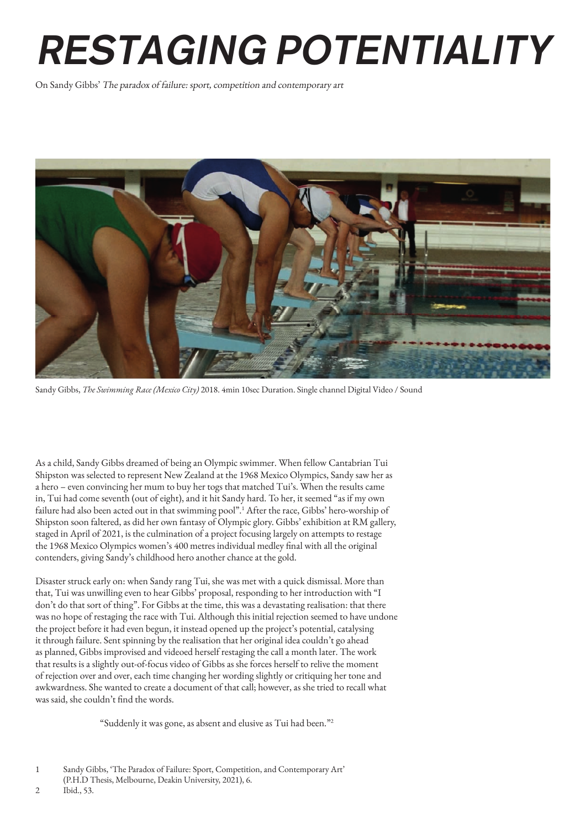## RESTAGING POTENTIALITY

On Sandy Gibbs' The paradox of failure: sport, competition and contemporary art



Sandy Gibbs, *The Swimming Race (Mexico City)* 2018. 4min 10sec Duration. Single channel Digital Video / Sound

As a child, Sandy Gibbs dreamed of being an Olympic swimmer. When fellow Cantabrian Tui Shipston was selected to represent New Zealand at the 1968 Mexico Olympics, Sandy saw her as a hero – even convincing her mum to buy her togs that matched Tui's. When the results came in, Tui had come seventh (out of eight), and it hit Sandy hard. To her, it seemed "as if my own failure had also been acted out in that swimming pool".<sup>1</sup> After the race, Gibbs' hero-worship of Shipston soon faltered, as did her own fantasy of Olympic glory. Gibbs' exhibition at RM gallery, staged in April of 2021, is the culmination of a project focusing largely on attempts to restage the 1968 Mexico Olympics women's 400 metres individual medley final with all the original contenders, giving Sandy's childhood hero another chance at the gold.

Disaster struck early on: when Sandy rang Tui, she was met with a quick dismissal. More than that, Tui was unwilling even to hear Gibbs' proposal, responding to her introduction with "I don't do that sort of thing". For Gibbs at the time, this was a devastating realisation: that there was no hope of restaging the race with Tui. Although this initial rejection seemed to have undone the project before it had even begun, it instead opened up the project's potential, catalysing it through failure. Sent spinning by the realisation that her original idea couldn't go ahead as planned, Gibbs improvised and videoed herself restaging the call a month later. The work that results is a slightly out-of-focus video of Gibbs as she forces herself to relive the moment of rejection over and over, each time changing her wording slightly or critiquing her tone and awkwardness. She wanted to create a document of that call; however, as she tried to recall what was said, she couldn't find the words.

"Suddenly it was gone, as absent and elusive as Tui had been."2

2 Ibid., 53.

<sup>1</sup> Sandy Gibbs, 'The Paradox of Failure: Sport, Competition, and Contemporary Art'

<sup>(</sup>P.H.D Thesis, Melbourne, Deakin University, 2021), 6.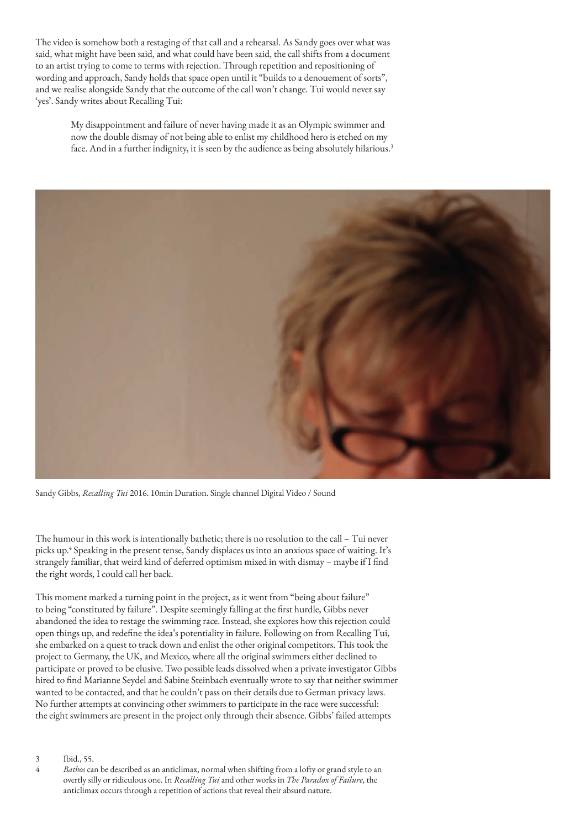The video is somehow both a restaging of that call and a rehearsal. As Sandy goes over what was said, what might have been said, and what could have been said, the call shifts from a document to an artist trying to come to terms with rejection. Through repetition and repositioning of wording and approach, Sandy holds that space open until it "builds to a denouement of sorts", and we realise alongside Sandy that the outcome of the call won't change. Tui would never say 'yes'. Sandy writes about Recalling Tui:

My disappointment and failure of never having made it as an Olympic swimmer and now the double dismay of not being able to enlist my childhood hero is etched on my face. And in a further indignity, it is seen by the audience as being absolutely hilarious.<sup>3</sup>



Sandy Gibbs, *Recalling Tui* 2016. 10min Duration. Single channel Digital Video / Sound

The humour in this work is intentionally bathetic; there is no resolution to the call – Tui never picks up.4 Speaking in the present tense, Sandy displaces us into an anxious space of waiting. It's strangely familiar, that weird kind of deferred optimism mixed in with dismay – maybe if I find the right words, I could call her back.

This moment marked a turning point in the project, as it went from "being about failure" to being "constituted by failure". Despite seemingly falling at the first hurdle, Gibbs never abandoned the idea to restage the swimming race. Instead, she explores how this rejection could open things up, and redefine the idea's potentiality in failure. Following on from Recalling Tui, she embarked on a quest to track down and enlist the other original competitors. This took the project to Germany, the UK, and Mexico, where all the original swimmers either declined to participate or proved to be elusive. Two possible leads dissolved when a private investigator Gibbs hired to find Marianne Seydel and Sabine Steinbach eventually wrote to say that neither swimmer wanted to be contacted, and that he couldn't pass on their details due to German privacy laws. No further attempts at convincing other swimmers to participate in the race were successful: the eight swimmers are present in the project only through their absence. Gibbs' failed attempts

3 Ibid., 55.

<sup>4</sup> *Bathos* can be described as an anticlimax, normal when shifting from a lofty or grand style to an overtly silly or ridiculous one. In *Recalling Tui* and other works in *The Paradox of Failure*, the anticlimax occurs through a repetition of actions that reveal their absurd nature.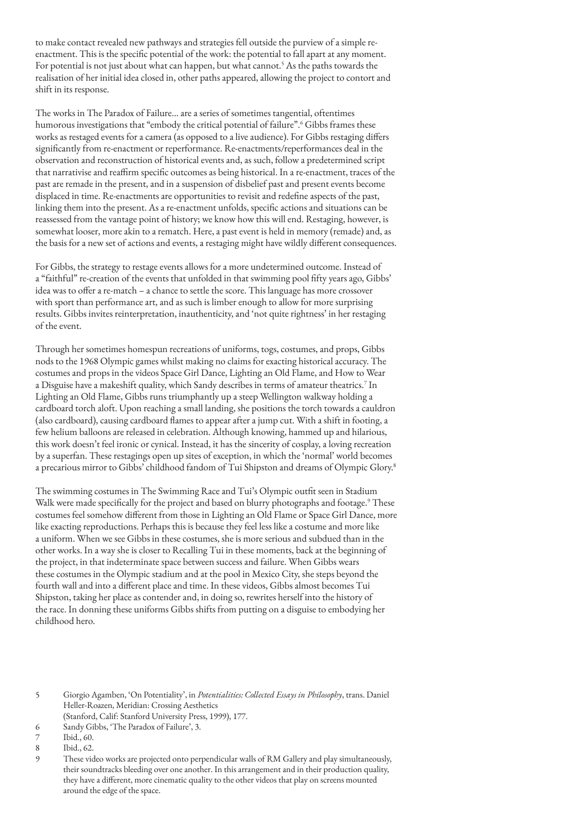to make contact revealed new pathways and strategies fell outside the purview of a simple reenactment. This is the specific potential of the work: the potential to fall apart at any moment. For potential is not just about what can happen, but what cannot.<sup>5</sup> As the paths towards the realisation of her initial idea closed in, other paths appeared, allowing the project to contort and shift in its response.

The works in The Paradox of Failure… are a series of sometimes tangential, oftentimes humorous investigations that "embody the critical potential of failure".<sup>6</sup> Gibbs frames these works as restaged events for a camera (as opposed to a live audience). For Gibbs restaging differs significantly from re-enactment or reperformance. Re-enactments/reperformances deal in the observation and reconstruction of historical events and, as such, follow a predetermined script that narrativise and reaffirm specific outcomes as being historical. In a re-enactment, traces of the past are remade in the present, and in a suspension of disbelief past and present events become displaced in time. Re-enactments are opportunities to revisit and redefine aspects of the past, linking them into the present. As a re-enactment unfolds, specific actions and situations can be reassessed from the vantage point of history; we know how this will end. Restaging, however, is somewhat looser, more akin to a rematch. Here, a past event is held in memory (remade) and, as the basis for a new set of actions and events, a restaging might have wildly different consequences.

For Gibbs, the strategy to restage events allows for a more undetermined outcome. Instead of a "faithful" re-creation of the events that unfolded in that swimming pool fifty years ago, Gibbs' idea was to offer a re-match – a chance to settle the score. This language has more crossover with sport than performance art, and as such is limber enough to allow for more surprising results. Gibbs invites reinterpretation, inauthenticity, and 'not quite rightness' in her restaging of the event.

Through her sometimes homespun recreations of uniforms, togs, costumes, and props, Gibbs nods to the 1968 Olympic games whilst making no claims for exacting historical accuracy. The costumes and props in the videos Space Girl Dance, Lighting an Old Flame, and How to Wear a Disguise have a makeshift quality, which Sandy describes in terms of amateur theatrics.<sup>7</sup> In Lighting an Old Flame, Gibbs runs triumphantly up a steep Wellington walkway holding a cardboard torch aloft. Upon reaching a small landing, she positions the torch towards a cauldron (also cardboard), causing cardboard flames to appear after a jump cut. With a shift in footing, a few helium balloons are released in celebration. Although knowing, hammed up and hilarious, this work doesn't feel ironic or cynical. Instead, it has the sincerity of cosplay, a loving recreation by a superfan. These restagings open up sites of exception, in which the 'normal' world becomes a precarious mirror to Gibbs' childhood fandom of Tui Shipston and dreams of Olympic Glory.<sup>8</sup>

The swimming costumes in The Swimming Race and Tui's Olympic outfit seen in Stadium Walk were made specifically for the project and based on blurry photographs and footage.<sup>9</sup> These costumes feel somehow different from those in Lighting an Old Flame or Space Girl Dance, more like exacting reproductions. Perhaps this is because they feel less like a costume and more like a uniform. When we see Gibbs in these costumes, she is more serious and subdued than in the other works. In a way she is closer to Recalling Tui in these moments, back at the beginning of the project, in that indeterminate space between success and failure. When Gibbs wears these costumes in the Olympic stadium and at the pool in Mexico City, she steps beyond the fourth wall and into a different place and time. In these videos, Gibbs almost becomes Tui Shipston, taking her place as contender and, in doing so, rewrites herself into the history of the race. In donning these uniforms Gibbs shifts from putting on a disguise to embodying her childhood hero.

6 Sandy Gibbs, 'The Paradox of Failure', 3.

9 These video works are projected onto perpendicular walls of RM Gallery and play simultaneously, their soundtracks bleeding over one another. In this arrangement and in their production quality, they have a different, more cinematic quality to the other videos that play on screens mounted around the edge of the space.

<sup>5</sup> Giorgio Agamben, 'On Potentiality', in *Potentialities: Collected Essays in Philosophy*, trans. Daniel Heller-Roazen, Meridian: Crossing Aesthetics (Stanford, Calif: Stanford University Press, 1999), 177.

Ibid., 60.

<sup>8</sup> Ibid., 62.